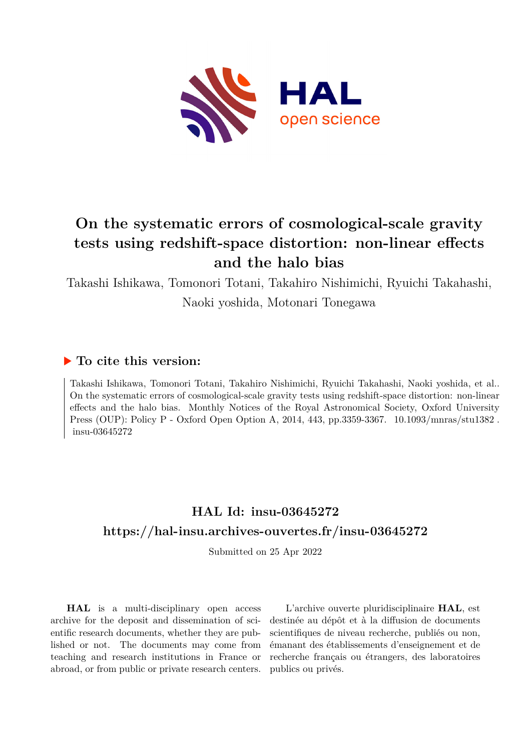

# **On the systematic errors of cosmological-scale gravity tests using redshift-space distortion: non-linear effects and the halo bias**

Takashi Ishikawa, Tomonori Totani, Takahiro Nishimichi, Ryuichi Takahashi, Naoki yoshida, Motonari Tonegawa

## **To cite this version:**

Takashi Ishikawa, Tomonori Totani, Takahiro Nishimichi, Ryuichi Takahashi, Naoki yoshida, et al.. On the systematic errors of cosmological-scale gravity tests using redshift-space distortion: non-linear effects and the halo bias. Monthly Notices of the Royal Astronomical Society, Oxford University Press (OUP): Policy P - Oxford Open Option A, 2014, 443, pp.3359-3367. 10.1093/mnras/stu1382. insu-03645272

## **HAL Id: insu-03645272 <https://hal-insu.archives-ouvertes.fr/insu-03645272>**

Submitted on 25 Apr 2022

**HAL** is a multi-disciplinary open access archive for the deposit and dissemination of scientific research documents, whether they are published or not. The documents may come from teaching and research institutions in France or abroad, or from public or private research centers.

L'archive ouverte pluridisciplinaire **HAL**, est destinée au dépôt et à la diffusion de documents scientifiques de niveau recherche, publiés ou non, émanant des établissements d'enseignement et de recherche français ou étrangers, des laboratoires publics ou privés.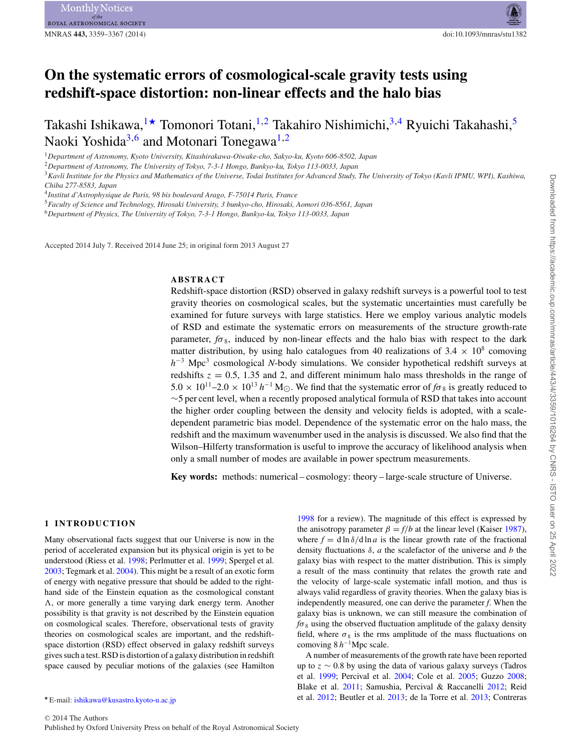## **On the systematic errors of cosmological-scale gravity tests using redshift-space distortion: non-linear effects and the halo bias**

Takashi Ishikawa,  $\rightarrow$  Tomonori Totani, <sup>1,2</sup> Takahiro Nishimichi, <sup>3,4</sup> Ryuichi Takahashi, <sup>5</sup> Naoki Yoshida<sup>3,6</sup> and Motonari Tonegawa<sup>1,2</sup>

<sup>1</sup>*Department of Astronomy, Kyoto University, Kitashirakawa-Oiwake-cho, Sakyo-ku, Kyoto 606-8502, Japan*

<sup>2</sup>*Department of Astronomy, The University of Tokyo, 7-3-1 Hongo, Bunkyo-ku, Tokyo 113-0033, Japan*

<sup>3</sup>*Kavli Institute for the Physics and Mathematics of the Universe, Todai Institutes for Advanced Study, The University of Tokyo (Kavli IPMU, WPI), Kashiwa, Chiba 277-8583, Japan*

<sup>4</sup>*Institut d'Astrophysique de Paris, 98 bis boulevard Arago, F-75014 Paris, France*

<sup>5</sup>*Faculty of Science and Technology, Hirosaki University, 3 bunkyo-cho, Hirosaki, Aomori 036-8561, Japan*

<sup>6</sup>*Department of Physics, The University of Tokyo, 7-3-1 Hongo, Bunkyo-ku, Tokyo 113-0033, Japan*

Accepted 2014 July 7. Received 2014 June 25; in original form 2013 August 27

### **ABSTRACT**

Redshift-space distortion (RSD) observed in galaxy redshift surveys is a powerful tool to test gravity theories on cosmological scales, but the systematic uncertainties must carefully be examined for future surveys with large statistics. Here we employ various analytic models of RSD and estimate the systematic errors on measurements of the structure growth-rate parameter,  $f\sigma_8$ , induced by non-linear effects and the halo bias with respect to the dark matter distribution, by using halo catalogues from 40 realizations of  $3.4 \times 10^8$  comoving *h*<sup>−3</sup> Mpc<sup>3</sup> cosmological *N*-body simulations. We consider hypothetical redshift surveys at redshifts  $z = 0.5$ , 1.35 and 2, and different minimum halo mass thresholds in the range of  $5.0 \times 10^{11}$ –2.0 ×  $10^{13}$  *h*<sup>-1</sup> M<sub>O</sub>. We find that the systematic error of  $f\sigma_8$  is greatly reduced to ∼5 per cent level, when a recently proposed analytical formula of RSD that takes into account the higher order coupling between the density and velocity fields is adopted, with a scaledependent parametric bias model. Dependence of the systematic error on the halo mass, the redshift and the maximum wavenumber used in the analysis is discussed. We also find that the Wilson–Hilferty transformation is useful to improve the accuracy of likelihood analysis when only a small number of modes are available in power spectrum measurements.

**Key words:** methods: numerical – cosmology: theory – large-scale structure of Universe.

#### **1 INTRODUCTION**

Many observational facts suggest that our Universe is now in the period of accelerated expansion but its physical origin is yet to be understood (Riess et al. 1998; Perlmutter et al. 1999; Spergel et al. 2003; Tegmark et al. 2004). This might be a result of an exotic form of energy with negative pressure that should be added to the righthand side of the Einstein equation as the cosmological constant  $\Lambda$ , or more generally a time varying dark energy term. Another possibility is that gravity is not described by the Einstein equation on cosmological scales. Therefore, observational tests of gravity theories on cosmological scales are important, and the redshiftspace distortion (RSD) effect observed in galaxy redshift surveys gives such a test. RSD is distortion of a galaxy distribution in redshift space caused by peculiar motions of the galaxies (see Hamilton

1998 for a review). The magnitude of this effect is expressed by the anisotropy parameter  $\beta = f/b$  at the linear level (Kaiser 1987), where  $f = d \ln \delta / d \ln a$  is the linear growth rate of the fractional density fluctuations δ, *a* the scalefactor of the universe and *b* the galaxy bias with respect to the matter distribution. This is simply a result of the mass continuity that relates the growth rate and the velocity of large-scale systematic infall motion, and thus is always valid regardless of gravity theories. When the galaxy bias is independently measured, one can derive the parameter *f*. When the galaxy bias is unknown, we can still measure the combination of  $f\sigma_8$  using the observed fluctuation amplitude of the galaxy density field, where  $\sigma_8$  is the rms amplitude of the mass fluctuations on comoving 8 *h*−1Mpc scale.

A number of measurements of the growth rate have been reported up to  $z \sim 0.8$  by using the data of various galaxy surveys (Tadros et al. 1999; Percival et al. 2004; Cole et al. 2005; Guzzo 2008; Blake et al. 2011; Samushia, Percival & Raccanelli 2012; Reid et al. 2012; Beutler et al. 2013; de la Torre et al. 2013; Contreras

E-mail: [ishikawa@kusastro.kyoto-u.ac.jp](mailto:ishikawa@kusastro.kyoto-u.ac.jp)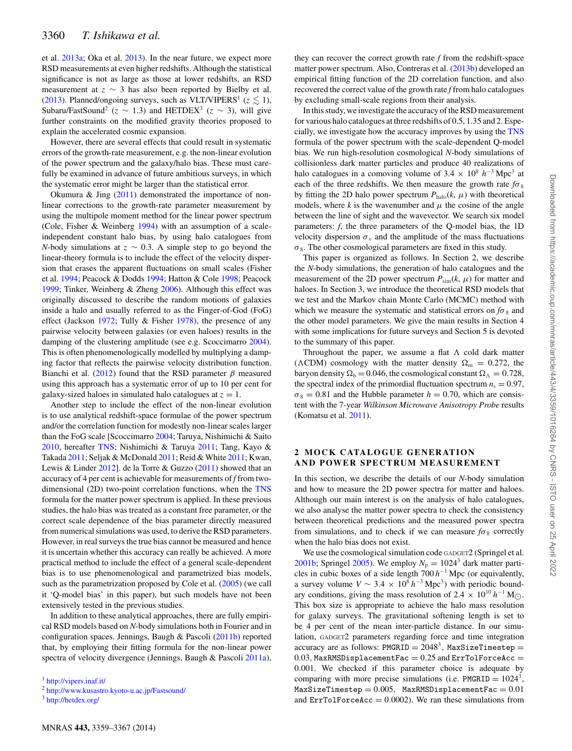et al. 2013a; Oka et al. 2013). In the near future, we expect more RSD measurements at even higher redshifts. Although the statistical significance is not as large as those at lower redshifts, an RSD measurement at  $z \sim 3$  has also been reported by Bielby et al. (2013). Planned/ongoing surveys, such as VLT/VIPERS<sup>1</sup> ( $z \lesssim 1$ ), Subaru/FastSound<sup>2</sup> ( $z \sim 1.3$ ) and HETDEX<sup>3</sup> ( $z \sim 3$ ), will give further constraints on the modified gravity theories proposed to explain the accelerated cosmic expansion.

However, there are several effects that could result in systematic errors of the growth-rate measurement, e.g. the non-linear evolution of the power spectrum and the galaxy/halo bias. These must carefully be examined in advance of future ambitious surveys, in which the systematic error might be larger than the statistical error.

Okumura  $\&$  Jing (2011) demonstrated the importance of nonlinear corrections to the growth-rate parameter measurement by using the multipole moment method for the linear power spectrum (Cole, Fisher & Weinberg 1994) with an assumption of a scaleindependent constant halo bias, by using halo catalogues from *N*-body simulations at  $z \sim 0.3$ . A simple step to go beyond the linear-theory formula is to include the effect of the velocity dispersion that erases the apparent fluctuations on small scales (Fisher et al. 1994; Peacock & Dodds 1994; Hatton & Cole 1998; Peacock 1999; Tinker, Weinberg & Zheng 2006). Although this effect was originally discussed to describe the random motions of galaxies inside a halo and usually referred to as the Finger-of-God (FoG) effect (Jackson 1972; Tully & Fisher 1978), the presence of any pairwise velocity between galaxies (or even haloes) results in the damping of the clustering amplitude (see e.g. Scoccimarro 2004). This is often phenomenologically modelled by multiplying a damping factor that reflects the pairwise velocity distribution function. Bianchi et al. (2012) found that the RSD parameter  $\beta$  measured using this approach has a systematic error of up to 10 per cent for galaxy-sized haloes in simulated halo catalogues at  $z = 1$ .

Another step to include the effect of the non-linear evolution is to use analytical redshift-space formulae of the power spectrum and/or the correlation function for modestly non-linear scales larger than the FoG scale [Scoccimarro 2004; Taruya, Nishimichi & Saito 2010, hereafter TNS; Nishimichi & Taruya 2011; Tang, Kayo & Takada 2011; Seljak & McDonald 2011; Reid & White 2011; Kwan, Lewis & Linder 2012]. de la Torre & Guzzo (2011) showed that an accuracy of 4 per cent is achievable for measurements of *f* from twodimensional (2D) two-point correlation functions, when the TNS formula for the matter power spectrum is applied. In these previous studies, the halo bias was treated as a constant free parameter, or the correct scale dependence of the bias parameter directly measured from numerical simulations was used, to derive the RSD parameters. However, in real surveys the true bias cannot be measured and hence it is uncertain whether this accuracy can really be achieved. A more practical method to include the effect of a general scale-dependent bias is to use phenomenological and parametrized bias models, such as the parametrization proposed by Cole et al. (2005) (we call it 'Q-model bias' in this paper), but such models have not been extensively tested in the previous studies.

In addition to these analytical approaches, there are fully empirical RSD models based on *N*-body simulations both in Fourier and in configuration spaces. Jennings, Baugh & Pascoli (2011b) reported that, by employing their fitting formula for the non-linear power spectra of velocity divergence (Jennings, Baugh & Pascoli 2011a),

<sup>1</sup> <http://vipers.inaf.it/>

MNRAS **443,** 3359–3367 (2014)

they can recover the correct growth rate *f* from the redshift-space matter power spectrum. Also, Contreras et al. (2013b) developed an empirical fitting function of the 2D correlation function, and also recovered the correct value of the growth rate *f* from halo catalogues by excluding small-scale regions from their analysis.

In this study, we investigate the accuracy of the RSD measurement for various halo catalogues at three redshifts of 0.5, 1.35 and 2. Especially, we investigate how the accuracy improves by using the TNS formula of the power spectrum with the scale-dependent Q-model bias. We run high-resolution cosmological *N*-body simulations of collisionless dark matter particles and produce 40 realizations of halo catalogues in a comoving volume of  $3.4 \times 10^8$  *h*<sup>-3</sup> Mpc<sup>3</sup> at each of the three redshifts. We then measure the growth rate  $f\sigma_8$ by fitting the 2D halo power spectrum  $P_{halo}(k, \mu)$  with theoretical models, where  $k$  is the wavenumber and  $\mu$  the cosine of the angle between the line of sight and the wavevector. We search six model parameters: *f*, the three parameters of the Q-model bias, the 1D velocity dispersion  $\sigma_{v}$  and the amplitude of the mass fluctuations  $\sigma_8$ . The other cosmological parameters are fixed in this study.

This paper is organized as follows. In Section 2, we describe the *N*-body simulations, the generation of halo catalogues and the measurement of the 2D power spectrum  $P_{\text{sim}}(k, \mu)$  for matter and haloes. In Section 3, we introduce the theoretical RSD models that we test and the Markov chain Monte Carlo (MCMC) method with which we measure the systematic and statistical errors on  $f\sigma_8$  and the other model parameters. We give the main results in Section 4 with some implications for future surveys and Section 5 is devoted to the summary of this paper.

Throughout the paper, we assume a flat  $\Lambda$  cold dark matter ( $\Lambda$ CDM) cosmology with the matter density  $\Omega_{\rm m} = 0.272$ , the baryon density  $\Omega_b = 0.046$ , the cosmological constant  $\Omega_{\Lambda} = 0.728$ , the spectral index of the primordial fluctuation spectrum  $n_s = 0.97$ ,  $\sigma_8 = 0.81$  and the Hubble parameter  $h = 0.70$ , which are consistent with the 7-year *Wilkinson Microwave Anisotropy Probe* results (Komatsu et al. 2011).

### **2 MOCK CATALOGUE GENERATION AND POWER SPECTRUM MEASUREMENT**

In this section, we describe the details of our *N*-body simulation and how to measure the 2D power spectra for matter and haloes. Although our main interest is on the analysis of halo catalogues, we also analyse the matter power spectra to check the consistency between theoretical predictions and the measured power spectra from simulations, and to check if we can measure  $f\sigma_8$  correctly when the halo bias does not exist.

We use the cosmological simulation code GADGET2 (Springel et al. 2001b; Springel 2005). We employ  $N_p = 1024^3$  dark matter particles in cubic boxes of a side length 700 *h*−<sup>1</sup> Mpc (or equivalently, a survey volume  $V \sim 3.4 \times 10^8 h^{-3}$  Mpc<sup>3</sup>) with periodic boundary conditions, giving the mass resolution of 2.4 ×  $10^{10} h^{-1}$  M<sub>O</sub>. This box size is appropriate to achieve the halo mass resolution for galaxy surveys. The gravitational softening length is set to be 4 per cent of the mean inter-particle distance. In our simulation, GADGET2 parameters regarding force and time integration accuracy are as follows: PMGRID =  $2048^3$ , MaxSizeTimestep = 0.03, MaxRMSDisplacementFac =  $0.25$  and ErrTolForceAcc = 0.001. We checked if this parameter choice is adequate by comparing with more precise simulations (i.e. PMGRID =  $1024^3$ ,  $MaxSizeTimestep = 0.005$ ,  $MaxRMSDisplacementFac = 0.01$ and  $ErrTolForceAcc = 0.0002$ . We ran these simulations from

<sup>2</sup> <http://www.kusastro.kyoto-u.ac.jp/Fastsound/>

<sup>3</sup> <http://hetdex.org/>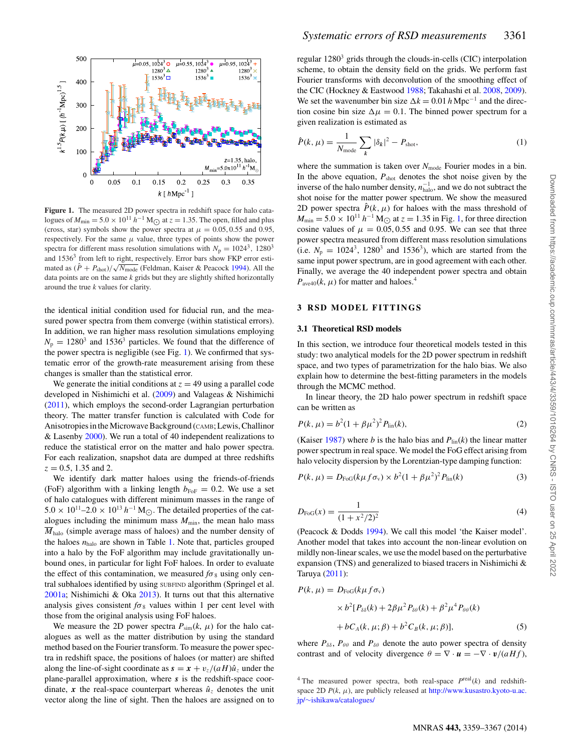

Figure 1. The measured 2D power spectra in redshift space for halo catalogues of  $M_{\text{min}} = 5.0 \times 10^{11} h^{-1} M_{\odot}$  at  $z = 1.35$ . The open, filled and plus<br>(cross, star) symbols show the power spectra at  $\mu = 0.05, 0.55$  and 0.05 (cross, star) symbols show the power spectra at  $\mu = 0.05, 0.55$  and 0.95, respectively. For the same  $\mu$  value, three types of points show the power spectra for different mass resolution simulations with  $N_p = 1024^3$ , 1280<sup>3</sup> and  $1536<sup>3</sup>$  from left to right, respectively. Error bars show FKP error estimated as  $(\hat{P} + P_{\text{shot}})/\sqrt{N_{\text{mode}}}$  (Feldman, Kaiser & Peacock 1994). All the data points are on the same *k* grids but they are slightly shifted horizontally around the true *k* values for clarity.

the identical initial condition used for fiducial run, and the measured power spectra from them converge (within statistical errors). In addition, we ran higher mass resolution simulations employing  $N_p = 1280^3$  and 1536<sup>3</sup> particles. We found that the difference of the power spectra is negligible (see Fig. 1). We confirmed that systematic error of the growth-rate measurement arising from these changes is smaller than the statistical error.

We generate the initial conditions at  $z = 49$  using a parallel code developed in Nishimichi et al. (2009) and Valageas & Nishimichi (2011), which employs the second-order Lagrangian perturbation theory. The matter transfer function is calculated with Code for Anisotropies in the Microwave Background (CAMB; Lewis, Challinor & Lasenby 2000). We run a total of 40 independent realizations to reduce the statistical error on the matter and halo power spectra. For each realization, snapshot data are dumped at three redshifts  $z = 0.5$ , 1.35 and 2.

We identify dark matter haloes using the friends-of-friends (FoF) algorithm with a linking length  $b_{\text{FoF}} = 0.2$ . We use a set of halo catalogues with different minimum masses in the range of  $5.0 \times 10^{11}$ –2.0 ×  $10^{13}$  *h*<sup>-1</sup> M<sub> $\odot$ </sub>. The detailed properties of the catalogues including the minimum mass  $M_{\text{min}}$ , the mean halo mass  $\overline{M}_{halo}$  (simple average mass of haloes) and the number density of the haloes *n*halo are shown in Table 1. Note that, particles grouped into a halo by the FoF algorithm may include gravitationally unbound ones, in particular for light FoF haloes. In order to evaluate the effect of this contamination, we measured  $f\sigma_8$  using only central subhaloes identified by using SUBFIND algorithm (Springel et al. 2001a; Nishimichi & Oka 2013). It turns out that this alternative analysis gives consistent  $f\sigma_8$  values within 1 per cent level with those from the original analysis using FoF haloes.

We measure the 2D power spectra  $P_{\text{sim}}(k, \mu)$  for the halo catalogues as well as the matter distribution by using the standard method based on the Fourier transform. To measure the power spectra in redshift space, the positions of haloes (or matter) are shifted along the line-of-sight coordinate as  $s = x + v_z/(aH)\hat{u}_z$  under the plane-parallel approximation, where *s* is the redshift-space coordinate, x the real-space counterpart whereas  $\hat{u}_z$  denotes the unit vector along the line of sight. Then the haloes are assigned on to regular  $1280<sup>3</sup>$  grids through the clouds-in-cells (CIC) interpolation scheme, to obtain the density field on the grids. We perform fast Fourier transforms with deconvolution of the smoothing effect of the CIC (Hockney & Eastwood 1988; Takahashi et al. 2008, 2009). We set the wavenumber bin size  $\Delta k = 0.01 h \text{ Mpc}^{-1}$  and the direction cosine bin size  $\Delta \mu = 0.1$ . The binned power spectrum for a given realization is estimated as

$$
\hat{P}(k,\mu) = \frac{1}{N_{\text{mode}}} \sum_{k} |\delta_k|^2 - P_{\text{shot}},
$$
\n(1)

where the summation is taken over  $N_{\text{mode}}$  Fourier modes in a bin. In the above equation,  $P_{shot}$  denotes the shot noise given by the inverse of the halo number density,  $n_{\text{halo}}^{-1}$ , and we do not subtract the shot noise for the matter power spectrum. We show the measured 2D power spectra  $\hat{P}(k,\mu)$  for haloes with the mass threshold of  $M_{\text{min}} = 5.0 \times 10^{11} h^{-1} M_{\odot}$  at  $z = 1.35$  in Fig. 1, for three direction cosine values of  $\mu = 0.05, 0.55$  and 0.95. We can see that three power spectra measured from different mass resolution simulations (i.e.  $N_p = 1024^3$ , 1280<sup>3</sup> and 1536<sup>3</sup>), which are started from the same input power spectrum, are in good agreement with each other. Finally, we average the 40 independent power spectra and obtain  $P_{\text{ave40}}(k,\mu)$  for matter and haloes.<sup>4</sup>

#### **3 RSD MODEL FITTINGS**

#### **3.1 Theoretical RSD models**

In this section, we introduce four theoretical models tested in this study: two analytical models for the 2D power spectrum in redshift space, and two types of parametrization for the halo bias. We also explain how to determine the best-fitting parameters in the models through the MCMC method.

In linear theory, the 2D halo power spectrum in redshift space can be written as

$$
P(k, \mu) = b^2 (1 + \beta \mu^2)^2 P_{\text{lin}}(k),
$$
\n(2)

(Kaiser 1987) where *b* is the halo bias and  $P_{lin}(k)$  the linear matter power spectrum in real space. We model the FoG effect arising from halo velocity dispersion by the Lorentzian-type damping function:

$$
P(k,\mu) = D_{\text{FoG}}(k\mu f \sigma_{\text{v}}) \times b^2 (1 + \beta \mu^2)^2 P_{\text{lin}}(k)
$$
(3)

$$
D_{\text{FoG}}(x) = \frac{1}{(1 + x^2/2)^2} \tag{4}
$$

(Peacock & Dodds 1994). We call this model 'the Kaiser model'. Another model that takes into account the non-linear evolution on mildly non-linear scales, we use the model based on the perturbative expansion (TNS) and generalized to biased tracers in Nishimichi & Taruya (2011):

$$
P(k, \mu) = D_{\text{FoG}}(k\mu f \sigma_v)
$$
  
 
$$
\times b^2 [P_{\delta\delta}(k) + 2\beta\mu^2 P_{\delta\theta}(k) + \beta^2\mu^4 P_{\theta\theta}(k)
$$
  
 
$$
+ bC_A(k, \mu; \beta) + b^2 C_B(k, \mu; \beta)],
$$
 (5)

where  $P_{\delta\delta}$ ,  $P_{\theta\theta}$  and  $P_{\delta\theta}$  denote the auto power spectra of density contrast and of velocity divergence  $\theta = \nabla \cdot \mathbf{u} = -\nabla \cdot \mathbf{v} / (a H f)$ ,

<sup>&</sup>lt;sup>4</sup> The measured power spectra, both real-space  $P^{\text{real}}(k)$  and redshiftspace 2D  $P(k, \mu)$ , are publicly released at [http://www.kusastro.kyoto-u.ac.](http://www.kusastro.kyoto-u.ac.jp/~ishikawa/catalogues/) jp/∼[ishikawa/catalogues/](http://www.kusastro.kyoto-u.ac.jp/~ishikawa/catalogues/)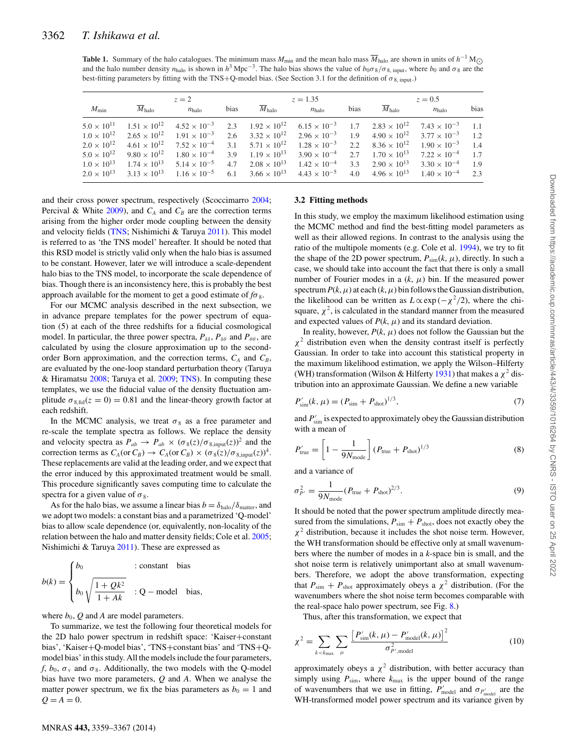**Table 1.** Summary of the halo catalogues. The minimum mass  $M_{\text{min}}$  and the mean halo mass  $\overline{M}_{\text{halo}}$  are shown in units of  $h^{-1} M_{\odot}$ and the halo number density  $n_{halo}$  is shown in  $h^3$  Mpc<sup>−3</sup>. The halo bias shows the value of  $b_0 \sigma_8/\sigma_{8, \text{ input}}$ , where  $b_0$  and  $\sigma_8$  are the best-fitting parameters by fitting with the TNS+Q-model bias. (See Section 3.1 for the definition of  $\sigma_{8, \text{ input}}$ .)

|                      | $z=2$                                                            |                                                                                                                        |      | $z = 1.35$            |                                                 |      | $z = 0.5$             |                                                                                                                                                                            |      |
|----------------------|------------------------------------------------------------------|------------------------------------------------------------------------------------------------------------------------|------|-----------------------|-------------------------------------------------|------|-----------------------|----------------------------------------------------------------------------------------------------------------------------------------------------------------------------|------|
| $M_{\rm min}$        | $M_{\text{halo}}$                                                | $n_{halo}$                                                                                                             | bias | $M_{\text{halo}}$     | $n_{halo}$                                      | bias | $M_{\rm halo}$        | $n_{\rm halo}$                                                                                                                                                             | bias |
|                      |                                                                  |                                                                                                                        |      |                       |                                                 |      |                       | $5.0 \times 10^{11}$ $1.51 \times 10^{12}$ $4.52 \times 10^{-3}$ $2.3$ $1.92 \times 10^{12}$ $6.15 \times 10^{-3}$ $1.7$ $2.83 \times 10^{12}$ $7.43 \times 10^{-3}$ $1.1$ |      |
|                      |                                                                  | $1.0 \times 10^{12}$ $2.65 \times 10^{12}$ $1.91 \times 10^{-3}$ $2.6$ $3.32 \times 10^{12}$ $2.96 \times 10^{-3}$ 1.9 |      |                       |                                                 |      |                       | $4.90 \times 10^{12}$ $3.77 \times 10^{-3}$ 1.2                                                                                                                            |      |
| $2.0 \times 10^{12}$ |                                                                  | $4.61 \times 10^{12}$ $7.52 \times 10^{-4}$ $3.1$ $5.71 \times 10^{12}$ $1.28 \times 10^{-3}$ 2.2                      |      |                       |                                                 |      | $8.36 \times 10^{12}$ | $1.90 \times 10^{-3}$                                                                                                                                                      | 1.4  |
|                      |                                                                  | $5.0 \times 10^{12}$ $9.80 \times 10^{12}$ $1.80 \times 10^{-4}$ 3.9                                                   |      | $1.19 \times 10^{13}$ | $3.90 \times 10^{-4}$ 2.7                       |      | $1.70 \times 10^{13}$ | $7.22 \times 10^{-4}$ 1.7                                                                                                                                                  |      |
|                      | $1.0 \times 10^{13}$ $1.74 \times 10^{13}$ $5.14 \times 10^{-5}$ |                                                                                                                        | 4.7  |                       | $2.08 \times 10^{13}$ $1.42 \times 10^{-4}$ 3.3 |      | $2.90 \times 10^{13}$ | $3.30 \times 10^{-4}$                                                                                                                                                      | 1.9  |
|                      |                                                                  | $2.0 \times 10^{13}$ $3.13 \times 10^{13}$ $1.16 \times 10^{-5}$ 6.1 $3.66 \times 10^{13}$                             |      |                       | $4.43 \times 10^{-5}$                           | 4.0  | $4.96 \times 10^{13}$ | $1.40 \times 10^{-4}$                                                                                                                                                      | 2.3  |

and their cross power spectrum, respectively (Scoccimarro 2004; Percival & White  $2009$ ), and  $C_A$  and  $C_B$  are the correction terms arising from the higher order mode coupling between the density and velocity fields (TNS; Nishimichi & Taruya 2011). This model is referred to as 'the TNS model' hereafter. It should be noted that this RSD model is strictly valid only when the halo bias is assumed to be constant. However, later we will introduce a scale-dependent halo bias to the TNS model, to incorporate the scale dependence of bias. Though there is an inconsistency here, this is probably the best approach available for the moment to get a good estimate of  $f\sigma_8$ .

For our MCMC analysis described in the next subsection, we in advance prepare templates for the power spectrum of equation (5) at each of the three redshifts for a fiducial cosmological model. In particular, the three power spectra,  $P_{\delta\delta}$ ,  $P_{\delta\theta}$  and  $P_{\theta\theta}$ , are calculated by using the closure approximation up to the secondorder Born approximation, and the correction terms,  $C_A$  and  $C_B$ , are evaluated by the one-loop standard perturbation theory (Taruya & Hiramatsu 2008; Taruya et al. 2009; TNS). In computing these templates, we use the fiducial value of the density fluctuation amplitude  $\sigma_{8,fid}(z=0) = 0.81$  and the linear-theory growth factor at each redshift.

In the MCMC analysis, we treat  $\sigma_8$  as a free parameter and re-scale the template spectra as follows. We replace the density and velocity spectra as  $P_{ab} \rightarrow P_{ab} \times (\sigma_8(z)/\sigma_{8, \text{input}}(z))^2$  and the correction terms as  $C_A$ (or  $C_B$ )  $\rightarrow$   $C_A$ (or  $C_B$ )  $\times$  ( $\sigma_8(z)/\sigma_{8, \text{input}}(z))^4$ . These replacements are valid at the leading order, and we expect that the error induced by this approximated treatment would be small. This procedure significantly saves computing time to calculate the spectra for a given value of  $\sigma_8$ .

As for the halo bias, we assume a linear bias  $b = \delta_{halo}/\delta_{matter}$ , and we adopt two models: a constant bias and a parametrized 'Q-model' bias to allow scale dependence (or, equivalently, non-locality of the relation between the halo and matter density fields; Cole et al. 2005; Nishimichi & Taruya 2011). These are expressed as

$$
b(k) = \begin{cases} b_0 & : \text{constant} \quad \text{bias} \\ b_0 & \sqrt{\frac{1 + Qk^2}{1 + Ak}} & : Q - \text{model} \quad \text{bias,} \end{cases}
$$

where  $b_0$ ,  $Q$  and  $A$  are model parameters.

To summarize, we test the following four theoretical models for the 2D halo power spectrum in redshift space: 'Kaiser+constant bias', 'Kaiser+Q-model bias', 'TNS+constant bias' and 'TNS+Qmodel bias' in this study. All the models include the four parameters, *f*,  $b_0$ ,  $\sigma_v$  and  $\sigma_8$ . Additionally, the two models with the Q-model bias have two more parameters, *Q* and *A*. When we analyse the matter power spectrum, we fix the bias parameters as  $b_0 = 1$  and  $Q = A = 0.$ 

#### **3.2 Fitting methods**

In this study, we employ the maximum likelihood estimation using the MCMC method and find the best-fitting model parameters as well as their allowed regions. In contrast to the analysis using the ratio of the multipole moments (e.g. Cole et al. 1994), we try to fit the shape of the 2D power spectrum,  $P_{\text{sim}}(k, \mu)$ , directly. In such a case, we should take into account the fact that there is only a small number of Fourier modes in a  $(k, \mu)$  bin. If the measured power spectrum  $P(k,\mu)$  at each  $(k,\mu)$  bin follows the Gaussian distribution, the likelihood can be written as  $L \propto \exp(-\chi^2/2)$ , where the chisquare,  $\chi^2$ , is calculated in the standard manner from the measured and expected values of  $P(k, \mu)$  and its standard deviation.

In reality, however,  $P(k, \mu)$  does not follow the Gaussian but the  $\chi^2$  distribution even when the density contrast itself is perfectly Gaussian. In order to take into account this statistical property in the maximum likelihood estimation, we apply the Wilson–Hilferty (WH) transformation (Wilson & Hilferty 1931) that makes a  $\chi^2$  distribution into an approximate Gaussian. We define a new variable

$$
P'_{\rm sim}(k,\,\mu) = (P_{\rm sim} + P_{\rm shot})^{1/3},\tag{7}
$$

and  $P_{\text{sim}}'$  is expected to approximately obey the Gaussian distribution with a mean of

$$
P'_{\text{true}} = \left[1 - \frac{1}{9N_{\text{mode}}}\right] \left(P_{\text{true}} + P_{\text{shot}}\right)^{1/3} \tag{8}
$$

and a variance of

$$
\sigma_{P'}^2 = \frac{1}{9N_{\text{mode}}} (P_{\text{true}} + P_{\text{shot}})^{2/3}.
$$
 (9)

It should be noted that the power spectrum amplitude directly measured from the simulations,  $P_{\text{sim}} + P_{\text{shot}}$ , does not exactly obey the  $\chi^2$  distribution, because it includes the shot noise term. However, the WH transformation should be effective only at small wavenumbers where the number of modes in a *k*-space bin is small, and the shot noise term is relatively unimportant also at small wavenumbers. Therefore, we adopt the above transformation, expecting that  $P_{\text{sim}} + P_{\text{shot}}$  approximately obeys a  $\chi^2$  distribution. (For the wavenumbers where the shot noise term becomes comparable with the real-space halo power spectrum, see Fig. 8.)

Thus, after this transformation, we expect that

$$
\chi^{2} = \sum_{k < k_{\text{max}}} \sum_{\mu} \frac{\left[ P_{\text{sim}}'(k, \mu) - P_{\text{model}}'(k, \mu) \right]^{2}}{\sigma_{P', \text{model}}^{2}} \tag{10}
$$

approximately obeys a  $\chi^2$  distribution, with better accuracy than simply using  $P_{sim}$ , where  $k_{max}$  is the upper bound of the range of wavenumbers that we use in fitting,  $P'_{\text{model}}$  and  $\sigma_{P'_{\text{model}}}$  are the WH-transformed model power spectrum and its variance given by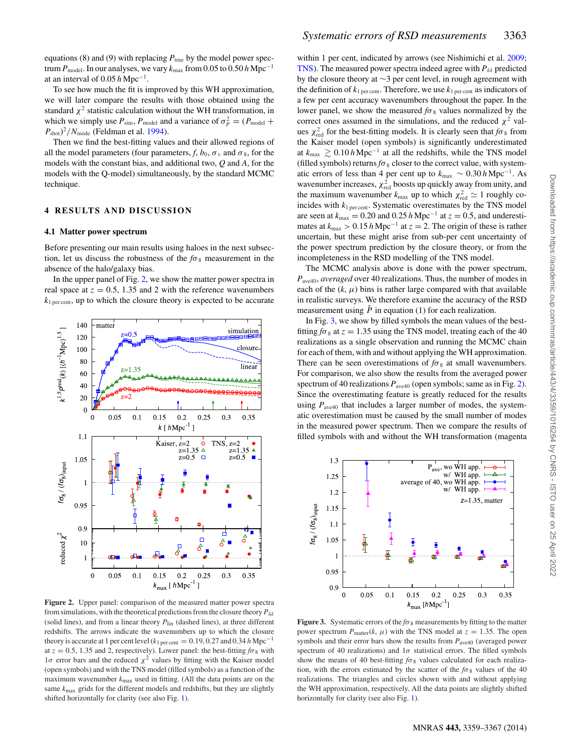equations (8) and (9) with replacing  $P_{true}$  by the model power spectrum  $P_{\text{model}}$ . In our analyses, we vary  $k_{\text{max}}$  from 0.05 to 0.50 *h* Mpc<sup>-1</sup> at an interval of 0.05 *h* Mpc−1.

To see how much the fit is improved by this WH approximation, we will later compare the results with those obtained using the standard  $\chi^2$  statistic calculation without the WH transformation, in which we simply use  $P_{\text{sim}}$ ,  $P_{\text{model}}$  and a variance of  $\sigma_P^2 = (P_{\text{model}} + P_{\text{model}})$  $P_{\text{shot}}$ )<sup>2</sup>/N<sub>mode</sub> (Feldman et al. 1994).

Then we find the best-fitting values and their allowed regions of all the model parameters (four parameters, *f*,  $b_0$ ,  $\sigma_y$  and  $\sigma_8$ , for the models with the constant bias, and additional two, *Q* and *A*, for the models with the Q-model) simultaneously, by the standard MCMC technique.

### **4 RESULTS AND DISCUSSION**

#### **4.1 Matter power spectrum**

Before presenting our main results using haloes in the next subsection, let us discuss the robustness of the  $f\sigma_8$  measurement in the absence of the halo/galaxy bias.

In the upper panel of Fig. 2, we show the matter power spectra in real space at  $z = 0.5$ , 1.35 and 2 with the reference wavenumbers  $k_{\text{1 percent}}$ , up to which the closure theory is expected to be accurate



**Figure 2.** Upper panel: comparison of the measured matter power spectra from simulations, with the theoretical predictions from the closure theory  $P_{\delta\delta}$ (solid lines), and from a linear theory  $P_{lin}$  (dashed lines), at three different redshifts. The arrows indicate the wavenumbers up to which the closure theory is accurate at 1 per cent level ( $k_{1\text{ per cent}}$  = 0.19, 0.27 and 0.34 *h* Mpc<sup>-1</sup> at  $z = 0.5$ , 1.35 and 2, respectively). Lower panel: the best-fitting  $f\sigma_8$  with  $1σ$  error bars and the reduced  $χ²$  values by fitting with the Kaiser model (open symbols) and with the TNS model (filled symbols) as a function of the maximum wavenumber  $k_{\text{max}}$  used in fitting. (All the data points are on the same *k*max grids for the different models and redshifts, but they are slightly shifted horizontally for clarity (see also Fig. 1).

within 1 per cent, indicated by arrows (see Nishimichi et al. 2009; TNS). The measured power spectra indeed agree with  $P_{\delta\delta}$  predicted by the closure theory at ∼3 per cent level, in rough agreement with the definition of  $k_1$  per cent. Therefore, we use  $k_1$  per cent as indicators of a few per cent accuracy wavenumbers throughout the paper. In the lower panel, we show the measured  $f\sigma_8$  values normalized by the correct ones assumed in the simulations, and the reduced  $\chi^2$  values  $\chi^2_{\text{red}}$  for the best-fitting models. It is clearly seen that  $f\sigma_8$  from the Kaiser model (open symbols) is significantly underestimated at  $k_{\text{max}}$   $\geq 0.10$  *h* Mpc<sup>−1</sup> at all the redshifts, while the TNS model (filled symbols) returns  $f\sigma_8$  closer to the correct value, with systematic errors of less than 4 per cent up to  $k_{\text{max}} \sim 0.30 \, h \, \text{Mpc}^{-1}$ . As wavenumber increases,  $\chi^2_{\text{red}}$  boosts up quickly away from unity, and the maximum wavenumber  $k_{\text{max}}$  up to which  $\chi^2_{\text{red}} \simeq 1$  roughly coincides with  $k_1$  per cent. Systematic overestimates by the TNS model are seen at  $k_{\text{max}} = 0.20$  and  $0.25 h \text{ Mpc}^{-1}$  at  $z = 0.5$ , and underestimates at  $k_{\text{max}} > 0.15 h \text{ Mpc}^{-1}$  at  $z = 2$ . The origin of these is rather uncertain, but these might arise from sub-per cent uncertainty of the power spectrum prediction by the closure theory, or from the incompleteness in the RSD modelling of the TNS model.

The MCMC analysis above is done with the power spectrum, *P*ave40, *averaged* over 40 realizations. Thus, the number of modes in each of the  $(k, \mu)$  bins is rather large compared with that available in realistic surveys. We therefore examine the accuracy of the RSD measurement using  $\hat{P}$  in equation (1) for each realization.

In Fig. 3, we show by filled symbols the mean values of the bestfitting  $f\sigma_8$  at  $z = 1.35$  using the TNS model, treating each of the 40 realizations as a single observation and running the MCMC chain for each of them, with and without applying the WH approximation. There can be seen overestimations of  $f\sigma_8$  at small wavenumbers. For comparison, we also show the results from the averaged power spectrum of 40 realizations  $P_{\text{ave40}}$  (open symbols; same as in Fig. 2). Since the overestimating feature is greatly reduced for the results using  $P_{\text{ave}40}$  that includes a larger number of modes, the systematic overestimation must be caused by the small number of modes in the measured power spectrum. Then we compare the results of filled symbols with and without the WH transformation (magenta



**Figure 3.** Systematic errors of the  $f\sigma_8$  measurements by fitting to the matter power spectrum  $P_{\text{matter}}(k, \mu)$  with the TNS model at  $z = 1.35$ . The open symbols and their error bars show the results from  $P_{\text{ave40}}$  (averaged power spectrum of 40 realizations) and  $1\sigma$  statistical errors. The filled symbols show the means of 40 best-fitting  $f\sigma_8$  values calculated for each realization, with the errors estimated by the scatter of the  $f\sigma_8$  values of the 40 realizations. The triangles and circles shown with and without applying the WH approximation, respectively. All the data points are slightly shifted horizontally for clarity (see also Fig. 1).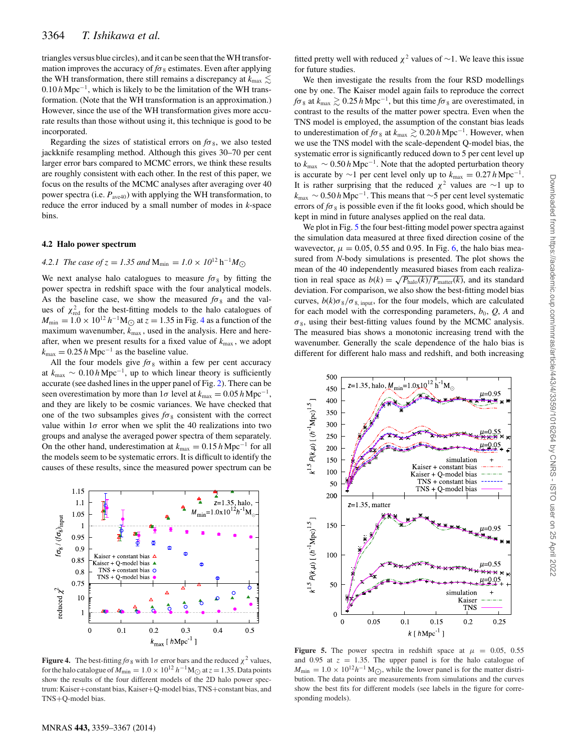triangles versus blue circles), and it can be seen that theWH transformation improves the accuracy of  $f\sigma_8$  estimates. Even after applying the WH transformation, there still remains a discrepancy at  $k_{\text{max}} \lesssim$ 0.10 *h* Mpc−1, which is likely to be the limitation of the WH transformation. (Note that the WH transformation is an approximation.) However, since the use of the WH transformation gives more accurate results than those without using it, this technique is good to be incorporated.

Regarding the sizes of statistical errors on  $f\sigma_8$ , we also tested jackknife resampling method. Although this gives 30–70 per cent larger error bars compared to MCMC errors, we think these results are roughly consistent with each other. In the rest of this paper, we focus on the results of the MCMC analyses after averaging over 40 power spectra (i.e.  $P_{\text{ave40}}$ ) with applying the WH transformation, to reduce the error induced by a small number of modes in *k*-space bins.

#### **4.2 Halo power spectrum**

### *4.2.1 The case of*  $z = 1.35$  *and*  $M_{\text{min}} = 1.0 \times 10^{12} \text{ h}^{-1} M_{\odot}$

We next analyse halo catalogues to measure  $f\sigma_8$  by fitting the power spectra in redshift space with the four analytical models. As the baseline case, we show the measured  $f\sigma_8$  and the values of  $\chi^2_{\text{red}}$  for the best-fitting models to the halo catalogues of  $M_{\text{min}} = 1.0 \times 10^{12} h^{-1} M_{\odot}$  at  $z = 1.35$  in Fig. 4 as a function of the maximum wavenumber,  $k_{\text{max}}$ , used in the analysis. Here and hereafter, when we present results for a fixed value of  $k_{\text{max}}$ , we adopt  $k_{\text{max}} = 0.25 h \text{ Mpc}^{-1}$  as the baseline value.

All the four models give  $f\sigma_8$  within a few per cent accuracy at  $k_{\text{max}}$  ~ 0.10 *h* Mpc<sup>-1</sup>, up to which linear theory is sufficiently accurate (see dashed lines in the upper panel of Fig. 2). There can be seen overestimation by more than  $1\sigma$  level at  $k_{\text{max}} = 0.05 h \text{ Mpc}^{-1}$ , and they are likely to be cosmic variances. We have checked that one of the two subsamples gives  $f\sigma_8$  consistent with the correct value within  $1\sigma$  error when we split the 40 realizations into two groups and analyse the averaged power spectra of them separately. On the other hand, underestimation at  $k_{\text{max}} = 0.15 h \text{ Mpc}^{-1}$  for all the models seem to be systematic errors. It is difficult to identify the causes of these results, since the measured power spectrum can be



**Figure 4.** The best-fitting  $f\sigma_8$  with  $1\sigma$  error bars and the reduced  $\chi^2$  values, for the halo catalogue of  $M_{\text{min}} = 1.0 \times 10^{12} h^{-1} M_{\odot}$  at  $z = 1.35$ . Data points show the results of the four different models of the 2D halo power spectrum: Kaiser+constant bias, Kaiser+Q-model bias, TNS+constant bias, and TNS+Q-model bias.

fitted pretty well with reduced  $\chi^2$  values of ~1. We leave this issue for future studies.

We then investigate the results from the four RSD modellings one by one. The Kaiser model again fails to reproduce the correct  $f\sigma_8$  at  $k_{\text{max}} \geq 0.25$  *h* Mpc<sup>-1</sup>, but this time  $f\sigma_8$  are overestimated, in contrast to the results of the matter power spectra. Even when the TNS model is employed, the assumption of the constant bias leads to underestimation of  $f\sigma_8$  at  $k_{\text{max}} \gtrsim 0.20 \, h \, \text{Mpc}^{-1}$ . However, when we use the TNS model with the scale-dependent Q-model bias, the systematic error is significantly reduced down to 5 per cent level up to  $k_{\text{max}}$  ~ 0.50 *h* Mpc<sup>−1</sup>. Note that the adopted perturbation theory is accurate by ∼1 per cent level only up to  $k_{\text{max}} = 0.27 h \text{ Mpc}^{-1}$ . It is rather surprising that the reduced  $\chi^2$  values are ∼1 up to *<sup>k</sup>*max <sup>∼</sup> 0.50 *<sup>h</sup>* Mpc−1. This means that <sup>∼</sup>5 per cent level systematic errors of  $f\sigma_8$  is possible even if the fit looks good, which should be kept in mind in future analyses applied on the real data.

We plot in Fig. 5 the four best-fitting model power spectra against the simulation data measured at three fixed direction cosine of the wavevector,  $\mu = 0.05, 0.55$  and 0.95. In Fig. 6, the halo bias measured from *N*-body simulations is presented. The plot shows the mean of the 40 independently measured biases from each realization in real space as  $b(k) = \sqrt{P_{halo}(k)/P_{matter}(k)}$ , and its standard deviation. For comparison, we also show the best-fitting model bias curves,  $b(k)\sigma_8/\sigma_{8,\text{input}}$ , for the four models, which are calculated for each model with the corresponding parameters,  $b_0$ ,  $Q$ ,  $A$  and  $\sigma_8$ , using their best-fitting values found by the MCMC analysis. The measured bias shows a monotonic increasing trend with the wavenumber. Generally the scale dependence of the halo bias is different for different halo mass and redshift, and both increasing



**Figure 5.** The power spectra in redshift space at  $\mu = 0.05, 0.55$ and 0.95 at  $z = 1.35$ . The upper panel is for the halo catalogue of  $M_{\text{min}} = 1.0 \times 10^{12} h^{-1} \text{ M}_{\bigodot}$ , while the lower panel is for the matter distribution. The data neight are measurements from eigenlations and the curves bution. The data points are measurements from simulations and the curves show the best fits for different models (see labels in the figure for corresponding models).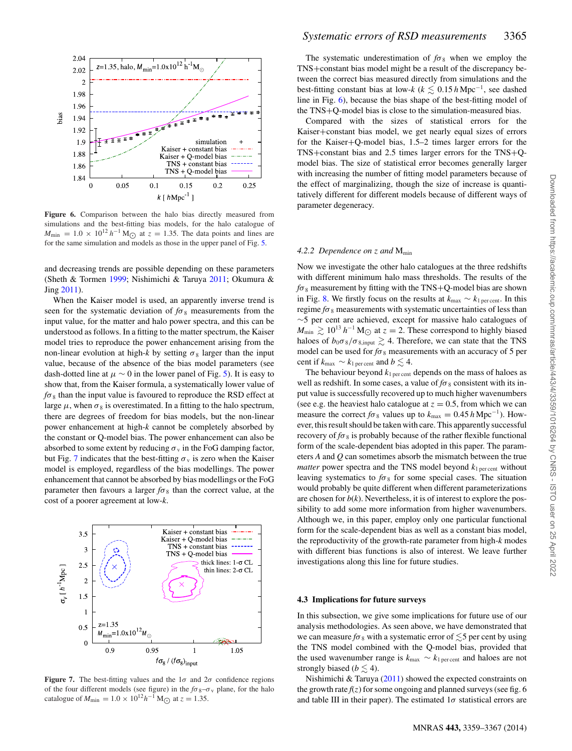

**Figure 6.** Comparison between the halo bias directly measured from simulations and the best-fitting bias models, for the halo catalogue of  $M_{\text{min}} = 1.0 \times 10^{12} h^{-1} M_{\odot}$  at  $z = 1.35$ . The data points and lines are for the same simulation and models as those in the upper panel of Fig. 5 for the same simulation and models as those in the upper panel of Fig. 5.

and decreasing trends are possible depending on these parameters (Sheth & Tormen 1999; Nishimichi & Taruya 2011; Okumura & Jing 2011).

When the Kaiser model is used, an apparently inverse trend is seen for the systematic deviation of  $f\sigma_8$  measurements from the input value, for the matter and halo power spectra, and this can be understood as follows. In a fitting to the matter spectrum, the Kaiser model tries to reproduce the power enhancement arising from the non-linear evolution at high-*k* by setting  $\sigma_8$  larger than the input value, because of the absence of the bias model parameters (see dash-dotted line at  $\mu \sim 0$  in the lower panel of Fig. 5). It is easy to show that, from the Kaiser formula, a systematically lower value of  $f\sigma_8$  than the input value is favoured to reproduce the RSD effect at large  $\mu$ , when  $\sigma_8$  is overestimated. In a fitting to the halo spectrum, there are degrees of freedom for bias models, but the non-linear power enhancement at high-*k* cannot be completely absorbed by the constant or Q-model bias. The power enhancement can also be absorbed to some extent by reducing  $\sigma_{v}$  in the FoG damping factor, but Fig. 7 indicates that the best-fitting  $\sigma_{v}$  is zero when the Kaiser model is employed, regardless of the bias modellings. The power enhancement that cannot be absorbed by bias modellings or the FoG parameter then favours a larger  $f\sigma_8$  than the correct value, at the cost of a poorer agreement at low-*k*.



**Figure 7.** The best-fitting values and the  $1\sigma$  and  $2\sigma$  confidence regions of the four different models (see figure) in the  $f\sigma_8 - \sigma_v$  plane, for the halo catalogue of  $M_{\text{min}} = 1.0 \times 10^{12} h^{-1} \text{ M}_{\odot}$  at  $z = 1.35$ .

The systematic underestimation of  $f\sigma_8$  when we employ the TNS+constant bias model might be a result of the discrepancy between the correct bias measured directly from simulations and the best-fitting constant bias at low- $k$  ( $k \lesssim 0.15$  *h* Mpc<sup>-1</sup>, see dashed line in Fig. 6), because the bias shape of the best-fitting model of the TNS+Q-model bias is close to the simulation-measured bias.

Compared with the sizes of statistical errors for the Kaiser+constant bias model, we get nearly equal sizes of errors for the Kaiser+Q-model bias, 1.5–2 times larger errors for the TNS+constant bias and 2.5 times larger errors for the TNS+Qmodel bias. The size of statistical error becomes generally larger with increasing the number of fitting model parameters because of the effect of marginalizing, though the size of increase is quantitatively different for different models because of different ways of parameter degeneracy.

#### *4.2.2 Dependence on* z *and* Mmin

Now we investigate the other halo catalogues at the three redshifts with different minimum halo mass thresholds. The results of the  $f\sigma_8$  measurement by fitting with the TNS+Q-model bias are shown in Fig. 8. We firstly focus on the results at  $k_{\text{max}} \sim k_{1 \text{ percent}}$ . In this regime  $f\sigma_8$  measurements with systematic uncertainties of less than ∼5 per cent are achieved, except for massive halo catalogues of  $M_{\text{min}} \gtrsim 10^{13} h^{-1} M_{\odot}$  at  $z = 2$ . These correspond to highly biased haloes of  $b_0 \sigma_8/\sigma_{8, \text{input}} \gtrsim 4$ . Therefore, we can state that the TNS model can be used for  $f\sigma_8$  measurements with an accuracy of 5 per cent if  $k_{\text{max}} \sim k_{1 \text{ per cent}}$  and  $b \lesssim 4$ .

The behaviour beyond  $k_{1\text{ per cent}}$  depends on the mass of haloes as well as redshift. In some cases, a value of  $f\sigma_8$  consistent with its input value is successfully recovered up to much higher wavenumbers (see e.g. the heaviest halo catalogue at  $z = 0.5$ , from which we can measure the correct  $f\sigma_8$  values up to  $k_{\text{max}} = 0.45$  *h* Mpc<sup>-1</sup>). However, this result should be taken with care. This apparently successful recovery of  $f\sigma_8$  is probably because of the rather flexible functional form of the scale-dependent bias adopted in this paper. The parameters *A* and *Q* can sometimes absorb the mismatch between the true *matter* power spectra and the TNS model beyond  $k_{1\text{ percent}}$  without leaving systematics to  $f\sigma_8$  for some special cases. The situation would probably be quite different when different parameterizations are chosen for  $b(k)$ . Nevertheless, it is of interest to explore the possibility to add some more information from higher wavenumbers. Although we, in this paper, employ only one particular functional form for the scale-dependent bias as well as a constant bias model, the reproductivity of the growth-rate parameter from high-*k* modes with different bias functions is also of interest. We leave further investigations along this line for future studies.

#### **4.3 Implications for future surveys**

In this subsection, we give some implications for future use of our analysis methodologies. As seen above, we have demonstrated that we can measure  $f\sigma_8$  with a systematic error of  $\lesssim$ 5 per cent by using the TNS model combined with the Q-model bias, provided that the used wavenumber range is  $k_{\text{max}} \sim k_{1 \text{ percent}}$  and haloes are not strongly biased ( $b \lesssim 4$ ).

Nishimichi & Taruya (2011) showed the expected constraints on the growth rate  $f(z)$  for some ongoing and planned surveys (see fig. 6 and table III in their paper). The estimated  $1\sigma$  statistical errors are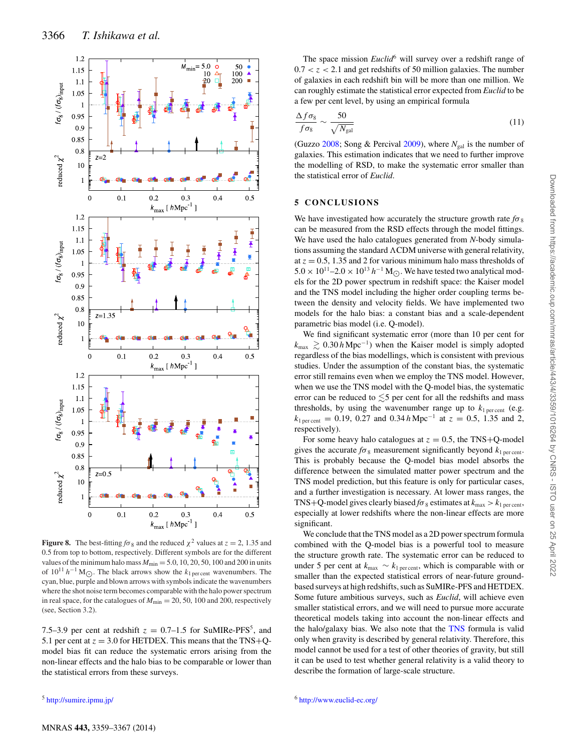

**Figure 8.** The best-fitting  $f\sigma_8$  and the reduced  $\chi^2$  values at  $z = 2$ , 1.35 and 0.5 from top to bottom, respectively. Different symbols are for the different values of the minimum halo mass  $M_{\text{min}} = 5.0, 10, 20, 50, 100$  and 200 in units of  $10^{11} h^{-1}$  M<sub>O</sub>. The black arrows show the  $k_1$  per cent wavenumbers. The cyan, blue, purple and blown arrows with symbols indicate the wavenumbers where the shot noise term becomes comparable with the halo power spectrum in real space, for the catalogues of  $M_{\text{min}} = 20, 50, 100$  and 200, respectively (see, Section 3.2).

7.5–3.9 per cent at redshift  $z = 0.7$ –1.5 for SuMIRe-PFS<sup>5</sup>, and 5.1 per cent at  $z = 3.0$  for HETDEX. This means that the TNS+Qmodel bias fit can reduce the systematic errors arising from the non-linear effects and the halo bias to be comparable or lower than the statistical errors from these surveys.

The space mission *Euclid*<sup>6</sup> will survey over a redshift range of  $0.7 < z < 2.1$  and get redshifts of 50 million galaxies. The number of galaxies in each redshift bin will be more than one million. We can roughly estimate the statistical error expected from *Euclid* to be a few per cent level, by using an empirical formula

$$
\frac{\Delta f \sigma_8}{f \sigma_8} \sim \frac{50}{\sqrt{N_{\rm gal}}} \tag{11}
$$

(Guzzo 2008; Song & Percival 2009), where  $N_{gal}$  is the number of galaxies. This estimation indicates that we need to further improve the modelling of RSD, to make the systematic error smaller than the statistical error of *Euclid*.

### **5 CONCLUSIONS**

We have investigated how accurately the structure growth rate  $f\sigma_8$ can be measured from the RSD effects through the model fittings. We have used the halo catalogues generated from *N*-body simulations assuming the standard  $\Lambda$ CDM universe with general relativity, at  $z = 0.5$ , 1.35 and 2 for various minimum halo mass thresholds of 5.0 × 10<sup>11</sup>–2.0 × 10<sup>13</sup> *h*<sup>−1</sup> M<sub>○</sub>. We have tested two analytical models for the 2D power spectrum in redshift space: the Kaiser model and the TNS model including the higher order coupling terms between the density and velocity fields. We have implemented two models for the halo bias: a constant bias and a scale-dependent parametric bias model (i.e. Q-model).

We find significant systematic error (more than 10 per cent for  $k_{\text{max}} \gtrsim 0.30 \, h \, \text{Mpc}^{-1}$ ) when the Kaiser model is simply adopted regardless of the bias modellings, which is consistent with previous studies. Under the assumption of the constant bias, the systematic error still remains even when we employ the TNS model. However, when we use the TNS model with the Q-model bias, the systematic error can be reduced to  $\lesssim$ 5 per cent for all the redshifts and mass thresholds, by using the wavenumber range up to  $k_{1\text{ percent}}$  (e.g.  $k_{\text{1 percent}} = 0.19, 0.27 \text{ and } 0.34 \, h \, \text{Mpc}^{-1}$  at  $z = 0.5, 1.35 \text{ and } 2$ , respectively).

For some heavy halo catalogues at  $z = 0.5$ , the TNS+Q-model gives the accurate  $f\sigma_8$  measurement significantly beyond  $k_{1 \text{ percent}}$ . This is probably because the Q-model bias model absorbs the difference between the simulated matter power spectrum and the TNS model prediction, but this feature is only for particular cases, and a further investigation is necessary. At lower mass ranges, the TNS+Q-model gives clearly biased  $f\sigma_8$  estimates at  $k_{\text{max}} > k_{1 \text{ percent}}$ , especially at lower redshifts where the non-linear effects are more significant.

We conclude that the TNS model as a 2D power spectrum formula combined with the Q-model bias is a powerful tool to measure the structure growth rate. The systematic error can be reduced to under 5 per cent at  $k_{\text{max}} \sim k_{1 \text{ percent}}$ , which is comparable with or smaller than the expected statistical errors of near-future groundbased surveys at high redshifts, such as SuMIRe-PFS and HETDEX. Some future ambitious surveys, such as *Euclid*, will achieve even smaller statistical errors, and we will need to pursue more accurate theoretical models taking into account the non-linear effects and the halo/galaxy bias. We also note that the TNS formula is valid only when gravity is described by general relativity. Therefore, this model cannot be used for a test of other theories of gravity, but still it can be used to test whether general relativity is a valid theory to describe the formation of large-scale structure.

<sup>5</sup> <http://sumire.ipmu.jp/>